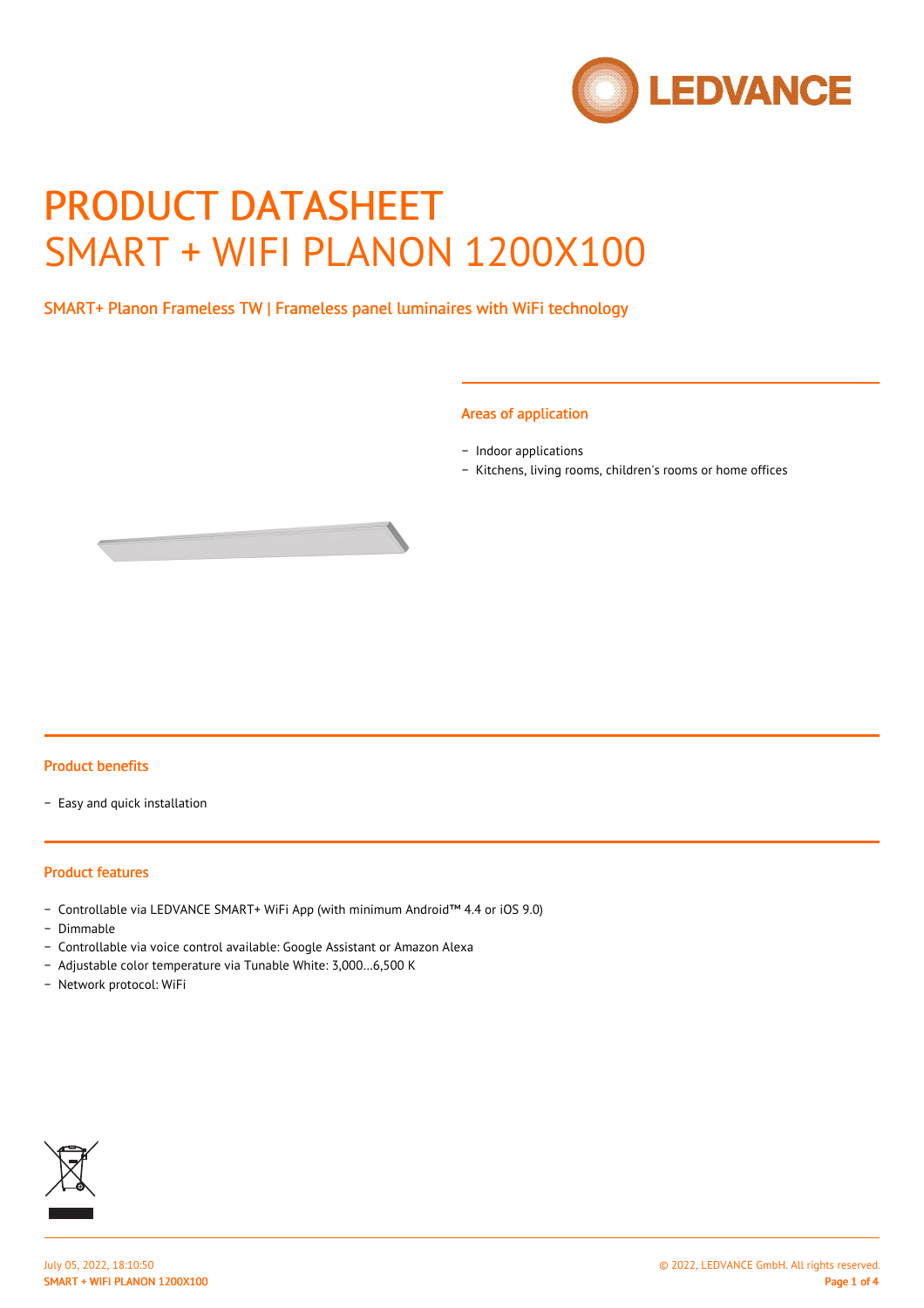

# PRODUCT DATASHEET SMART + WIFI PLANON 1200X100

SMART+ Planon Frameless TW | Frameless panel luminaires with WiFi technology

#### Areas of application

− Indoor applications

− Kitchens, living rooms, children's rooms or home offices



#### Product benefits

− Easy and quick installation

#### Product features

- − Controllable via LEDVANCE SMART+ WiFi App (with minimum Android™ 4.4 or iOS 9.0)
- − Dimmable
- − Controllable via voice control available: Google Assistant or Amazon Alexa
- − Adjustable color temperature via Tunable White: 3,000…6,500 K
- − Network protocol: WiFi

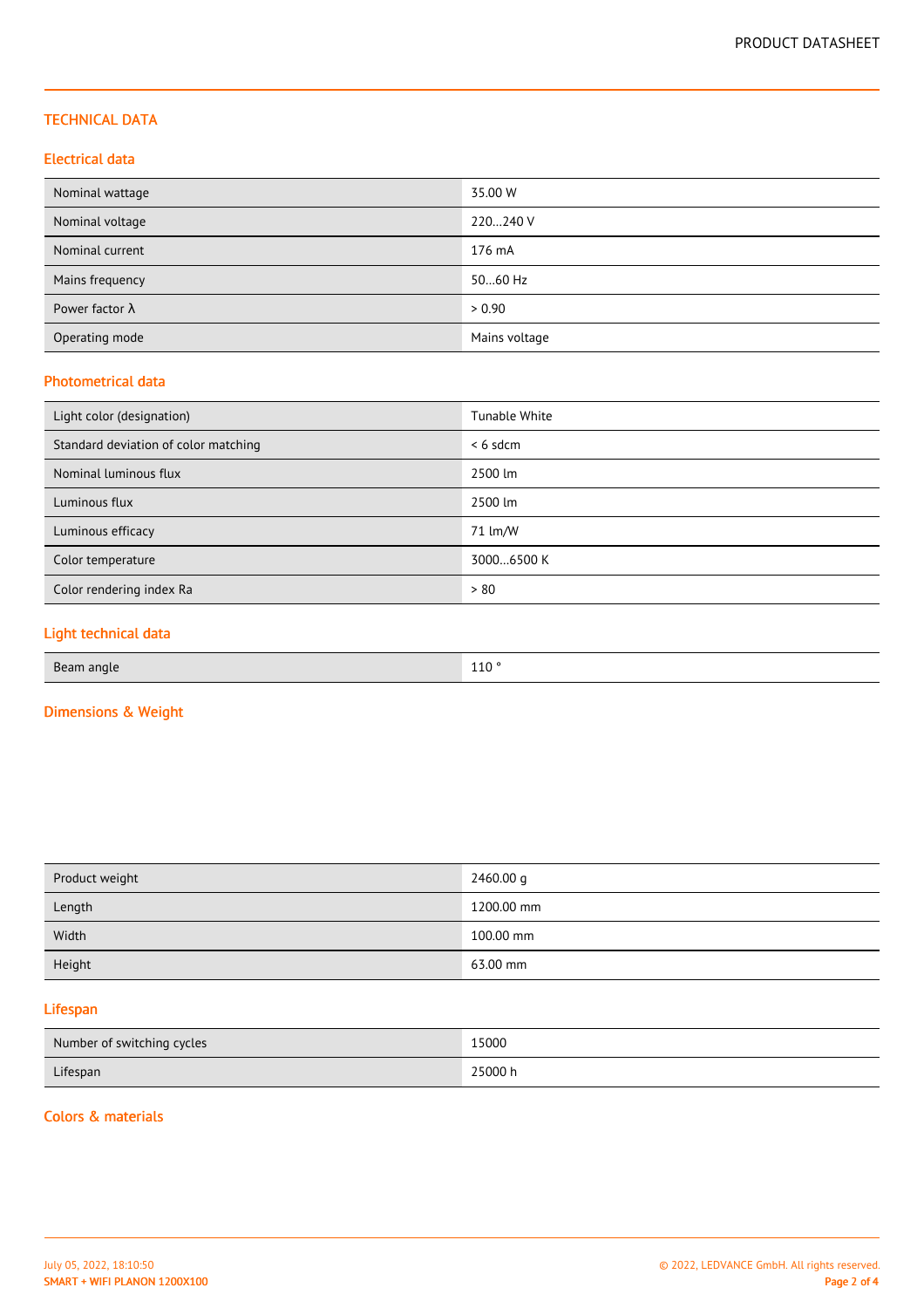## TECHNICAL DATA

## Electrical data

| Nominal wattage        | 35.00 W       |
|------------------------|---------------|
| Nominal voltage        | 220240 V      |
| Nominal current        | 176 mA        |
| Mains frequency        | 5060 Hz       |
| Power factor $\lambda$ | > 0.90        |
| Operating mode         | Mains voltage |

## Photometrical data

| Light color (designation)            | Tunable White |
|--------------------------------------|---------------|
| Standard deviation of color matching | $< 6$ sdcm    |
| Nominal luminous flux                | 2500 lm       |
| Luminous flux                        | 2500 lm       |
| Luminous efficacy                    | 71 lm/W       |
| Color temperature                    | 30006500 K    |
| Color rendering index Ra             | > 80          |
|                                      |               |

## Light technical data

| 110 <sup>°</sup><br>Beam angle<br>$\sim$ |  |
|------------------------------------------|--|
|------------------------------------------|--|

## Dimensions & Weight

| Product weight | 2460.00 g  |
|----------------|------------|
| Length         | 1200.00 mm |
| Width          | 100.00 mm  |
| Height         | 63.00 mm   |

## Lifespan

| Number of switching cycles | 15000   |
|----------------------------|---------|
| Lifespan                   | 25000 h |

#### Colors & materials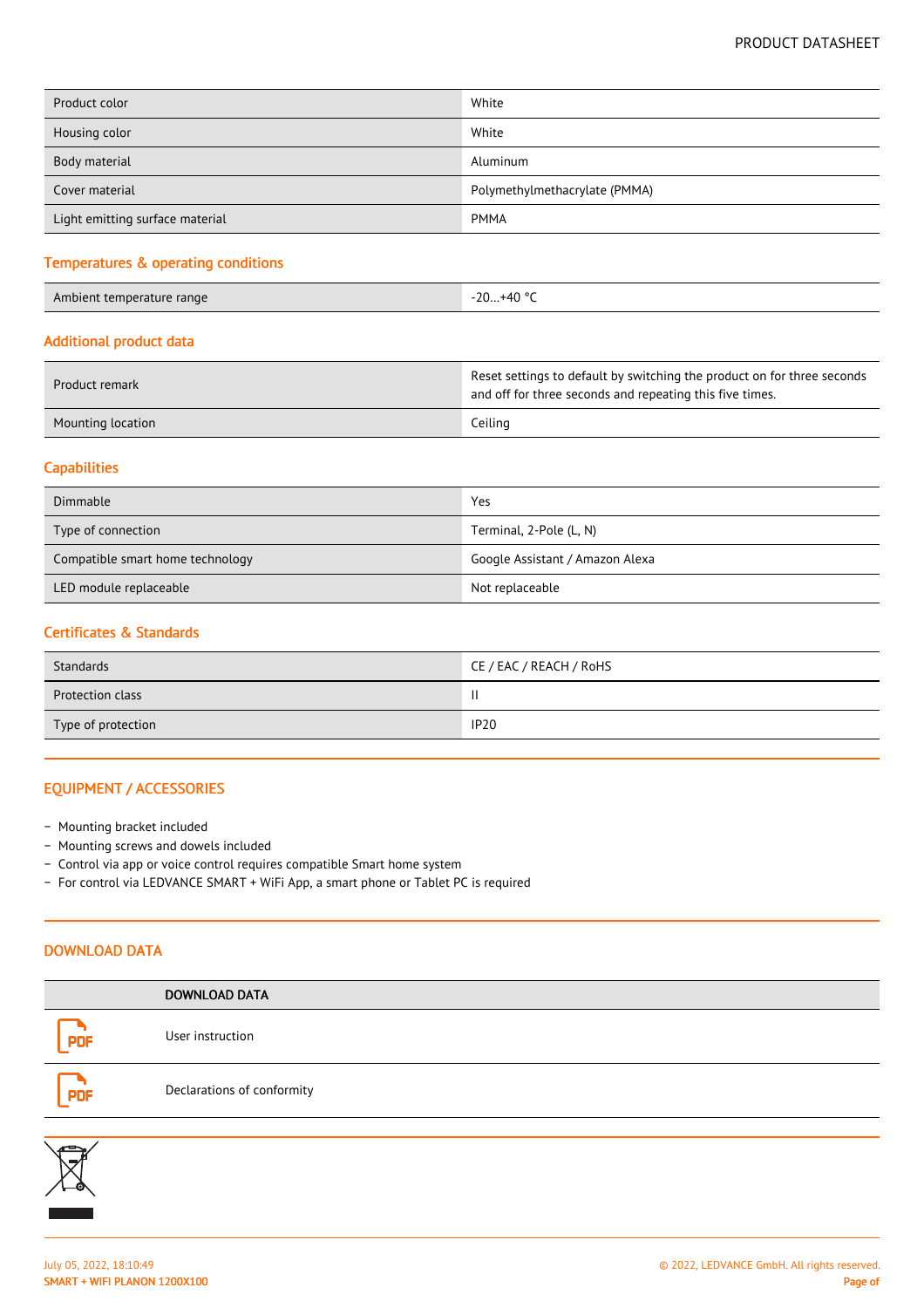| Product color                   | White                         |
|---------------------------------|-------------------------------|
| Housing color                   | White                         |
| Body material                   | Aluminum                      |
| Cover material                  | Polymethylmethacrylate (PMMA) |
| Light emitting surface material | <b>PMMA</b>                   |

#### Temperatures & operating conditions

Ambient temperature range -20...+40 °C

#### Additional product data

| Product remark    | Reset settings to default by switching the product on for three seconds<br>and off for three seconds and repeating this five times. |
|-------------------|-------------------------------------------------------------------------------------------------------------------------------------|
| Mounting location | Ceiling                                                                                                                             |

## **Capabilities**

| Dimmable                         | Yes                             |
|----------------------------------|---------------------------------|
| Type of connection               | Terminal, 2-Pole (L, N)         |
| Compatible smart home technology | Google Assistant / Amazon Alexa |
| LED module replaceable           | Not replaceable                 |

#### Certificates & Standards

| Standards               | CE / EAC / REACH / RoHS |
|-------------------------|-------------------------|
| <b>Protection class</b> | Ш                       |
| Type of protection      | <b>IP20</b>             |

## EQUIPMENT / ACCESSORIES

- − Mounting bracket included
- − Mounting screws and dowels included
- − Control via app or voice control requires compatible Smart home system
- − For control via LEDVANCE SMART + WiFi App, a smart phone or Tablet PC is required

## DOWNLOAD DATA

|            | <b>DOWNLOAD DATA</b>       |
|------------|----------------------------|
| <b>PDF</b> | User instruction           |
| <b>PDF</b> | Declarations of conformity |
|            |                            |
| re         |                            |

∕→